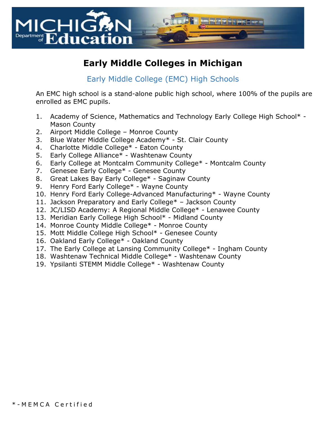

# **Early Middle Colleges in Michigan**

#### Early Middle College (EMC) High Schools

An EMC high school is a stand-alone public high school, where 100% of the pupils are enrolled as EMC pupils.

- 1. Academy of Science, Mathematics and Technology Early College High School\* Mason County
- 2. Airport Middle College Monroe County
- 3. Blue Water Middle College Academy\* St. Clair County
- 4. Charlotte Middle College\* Eaton County
- 5. Early College Alliance\* Washtenaw County
- 6. Early College at Montcalm Community College\* Montcalm County
- 7. Genesee Early College\* Genesee County
- 8. Great Lakes Bay Early College\* Saginaw County
- 9. Henry Ford Early College\* Wayne County
- 10. Henry Ford Early College-Advanced Manufacturing\* Wayne County
- 11. Jackson Preparatory and Early College\* Jackson County
- 12. JC/LISD Academy: A Regional Middle College\* Lenawee County
- 13. Meridian Early College High School\* Midland County
- 14. Monroe County Middle College\* Monroe County
- 15. Mott Middle College High School\* Genesee County
- 16. Oakland Early College\* Oakland County
- 17. The Early College at Lansing Community College\* Ingham County
- 18. Washtenaw Technical Middle College\* Washtenaw County
- 19. Ypsilanti STEMM Middle College\* Washtenaw County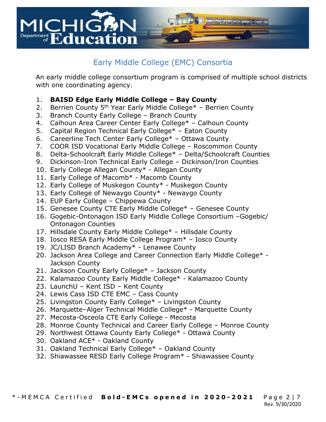

## Early Middle College (EMC) Consortia

An early middle college consortium program is comprised of multiple school districts with one coordinating agency.

#### 1. **BAISD Edge Early Middle College – Bay County**

- 2. Berrien County 5<sup>th</sup> Year Early Middle College\* Berrien County
- 3. Branch County Early College Branch County
- 4. Calhoun Area Career Center Early College\* Calhoun County
- 5. Capital Region Technical Early College\* Eaton County
- 6. Careerline Tech Center Early College\* Ottawa County
- 7. COOR ISD Vocational Early Middle College Roscommon County
- 8. Delta-Schoolcraft Early Middle College\* Delta/Schoolcraft Counties
- 9. Dickinson-Iron Technical Early College Dickinson/Iron Counties
- 10. Early College Allegan County\* Allegan County
- 11. Early College of Macomb\* Macomb County
- 12. Early College of Muskegon County\* Muskegon County
- 13. Early College of Newaygo County\* Newaygo County
- 14. EUP Early College Chippewa County
- 15. Genesee County CTE Early Middle College\* Genesee County
- 16. Gogebic-Ontonagon ISD Early Middle College Consortium –Gogebic/ Ontonagon Counties
- 17. Hillsdale County Early Middle College\* Hillsdale County
- 18. Iosco RESA Early Middle College Program\* Iosco County
- 19. JC/LISD Branch Academy\* Lenawee County
- 20. Jackson Area College and Career Connection Early Middle College\* Jackson County
- 21. Jackson County Early College\* Jackson County
- 22. Kalamazoo County Early Middle College\* Kalamazoo County
- 23. LaunchU Kent ISD Kent County
- 24. Lewis Cass ISD CTE EMC Cass County
- 25. Livingston County Early College\* Livingston County
- 26. Marquette–Alger Technical Middle College\* Marquette County
- 27. Mecosta-Osceola CTE Early College Mecosta
- 28. Monroe County Technical and Career Early College Monroe County
- 29. Northwest Ottawa County Early College\* Ottawa County
- 30. Oakland ACE\* Oakland County
- 31. Oakland Technical Early College\* Oakland County
- 32. Shiawassee RESD Early College Program\* Shiawassee County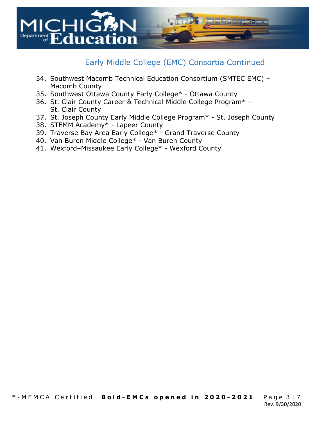

#### Early Middle College (EMC) Consortia Continued

- 34. Southwest Macomb Technical Education Consortium (SMTEC EMC) Macomb County
- 35. Southwest Ottawa County Early College\* Ottawa County
- 36. St. Clair County Career & Technical Middle College Program\* St. Clair County
- 37. St. Joseph County Early Middle College Program\* St. Joseph County
- 38. STEMM Academy\* Lapeer County
- 39. Traverse Bay Area Early College\* Grand Traverse County
- 40. Van Buren Middle College\* Van Buren County
- 41. Wexford–Missaukee Early College\* Wexford County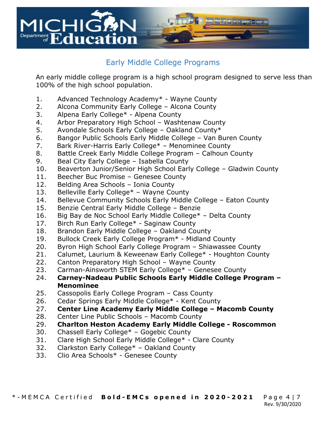

### Early Middle College Programs

An early middle college program is a high school program designed to serve less than 100% of the high school population.

- 1. Advanced Technology Academy\* Wayne County
- 2. Alcona Community Early College Alcona County
- 3. Alpena Early College\* Alpena County
- 4. Arbor Preparatory High School Washtenaw County
- 5. Avondale Schools Early College Oakland County\*
- 6. Bangor Public Schools Early Middle College Van Buren County
- 7. Bark River-Harris Early College\* Menominee County
- 8. Battle Creek Early Middle College Program Calhoun County
- 9. Beal City Early College Isabella County
- 10. Beaverton Junior/Senior High School Early College Gladwin County
- 11. Beecher Buc Promise Genesee County
- 12. Belding Area Schools Ionia County
- 13. Belleville Early College\* Wayne County
- 14. Bellevue Community Schools Early Middle College Eaton County
- 15. Benzie Central Early Middle College Benzie
- 16. Big Bay de Noc School Early Middle College\* Delta County
- 17. Birch Run Early College\* Saginaw County
- 18. Brandon Early Middle College Oakland County
- 19. Bullock Creek Early College Program\* Midland County
- 20. Byron High School Early College Program Shiawassee County
- 21. Calumet, Laurium & Keweenaw Early College\* Houghton County
- 22. Canton Preparatory High School Wayne County
- 23. Carman-Ainsworth STEM Early College\* Genesee County
- 24. **Carney-Nadeau Public Schools Early Middle College Program Menominee**
- 25. Cassopolis Early College Program Cass County
- 26. Cedar Springs Early Middle College\* Kent County
- 27. **Center Line Academy Early Middle College Macomb County**
- 28. Center Line Public Schools Macomb County
- 29. **Charlton Heston Academy Early Middle College Roscommon**
- 30. Chassell Early College\* Gogebic County
- 31. Clare High School Early Middle College\* Clare County
- 32. Clarkston Early College\* Oakland County
- 33. Clio Area Schools\* Genesee County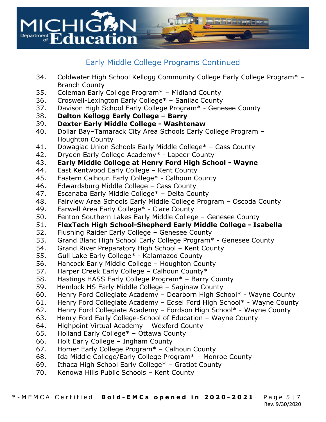

#### Early Middle College Programs Continued

- 34. Coldwater High School Kellogg Community College Early College Program\* Branch County
- 35. Coleman Early College Program\* Midland County
- 36. Croswell-Lexington Early College\* Sanilac County
- 37. Davison High School Early College Program\* Genesee County
- 38. **Delton Kellogg Early College Barry**
- 39. **Dexter Early Middle College Washtenaw**
- 40. Dollar Bay–Tamarack City Area Schools Early College Program Houghton County
- 41. Dowagiac Union Schools Early Middle College\* Cass County
- 42. Dryden Early College Academy\* Lapeer County
- 43. **Early Middle College at Henry Ford High School Wayne**
- 44. East Kentwood Early College Kent County
- 45. Eastern Calhoun Early College\* Calhoun County
- 46. Edwardsburg Middle College Cass County
- 47. Escanaba Early Middle College\* Delta County
- 48. Fairview Area Schools Early Middle College Program Oscoda County
- 49. Farwell Area Early College\* Clare County
- 50. Fenton Southern Lakes Early Middle College Genesee County
- 51. **FlexTech High School-Shepherd Early Middle College Isabella**
- 52. Flushing Raider Early College Genesee County
- 53. Grand Blanc High School Early College Program\* Genesee County
- 54. Grand River Preparatory High School Kent County
- 55. Gull Lake Early College\* Kalamazoo County
- 56. Hancock Early Middle College Houghton County
- 57. Harper Creek Early College Calhoun County\*
- 58. Hastings HASS Early College Program\* Barry County
- 59. Hemlock HS Early Middle College Saginaw County
- 60. Henry Ford Collegiate Academy Dearborn High School\* Wayne County
- 61. Henry Ford Collegiate Academy Edsel Ford High School\* Wayne County
- 62. Henry Ford Collegiate Academy Fordson High School\* Wayne County
- 63. Henry Ford Early College-School of Education Wayne County
- 64. Highpoint Virtual Academy Wexford County
- 65. Holland Early College\* Ottawa County
- 66. Holt Early College Ingham County
- 67. Homer Early College Program\* Calhoun County
- 68. Ida Middle College/Early College Program\* Monroe County
- 69. Ithaca High School Early College\* Gratiot County
- 70. Kenowa Hills Public Schools Kent County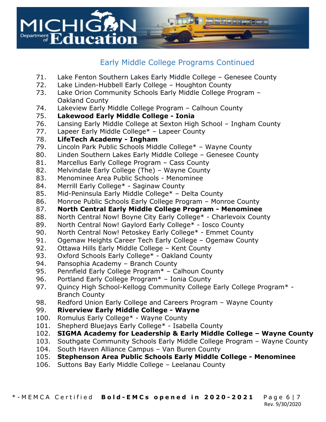

### Early Middle College Programs Continued

- 71. Lake Fenton Southern Lakes Early Middle College Genesee County
- 72. Lake Linden-Hubbell Early College Houghton County
- 73. Lake Orion Community Schools Early Middle College Program Oakland County
- 74. Lakeview Early Middle College Program Calhoun County
- 75. **Lakewood Early Middle College Ionia**
- 76. Lansing Early Middle College at Sexton High School Ingham County
- 77. Lapeer Early Middle College\* Lapeer County
- 78. **LifeTech Academy Ingham**
- 79. Lincoln Park Public Schools Middle College\* Wayne County
- 80. Linden Southern Lakes Early Middle College Genesee County
- 81. Marcellus Early College Program Cass County
- 82. Melvindale Early College (The) Wayne County
- 83. Menominee Area Public Schools Menominee
- 84. Merrill Early College\* Saginaw County
- 85. Mid-Peninsula Early Middle College\* Delta County
- 86. Monroe Public Schools Early College Program Monroe County
- 87. **North Central Early Middle College Program Menominee**
- 88. North Central Now! Boyne City Early College\* Charlevoix County
- 89. North Central Now! Gaylord Early College\* Iosco County
- 90. North Central Now! Petoskey Early College\* Emmet County
- 91. Ogemaw Heights Career Tech Early College Ogemaw County
- 92. Ottawa Hills Early Middle College Kent County
- 93. Oxford Schools Early College\* Oakland County
- 94. Pansophia Academy Branch County
- 95. Pennfield Early College Program\* Calhoun County
- 96. Portland Early College Program\* Ionia County
- 97. Quincy High School-Kellogg Community College Early College Program\* -Branch County
- 98. Redford Union Early College and Careers Program Wayne County

#### 99. **Riverview Early Middle College - Wayne**

- 100. Romulus Early College\* Wayne County
- 101. Shepherd Bluejays Early College\* Isabella County
- 102. **SIGMA Academy for Leadership & Early Middle College Wayne County**
- 103. Southgate Community Schools Early Middle College Program Wayne County
- 104. South Haven Alliance Campus Van Buren County
- 105. **Stephenson Area Public Schools Early Middle College Menominee**
- 106. Suttons Bay Early Middle College Leelanau County